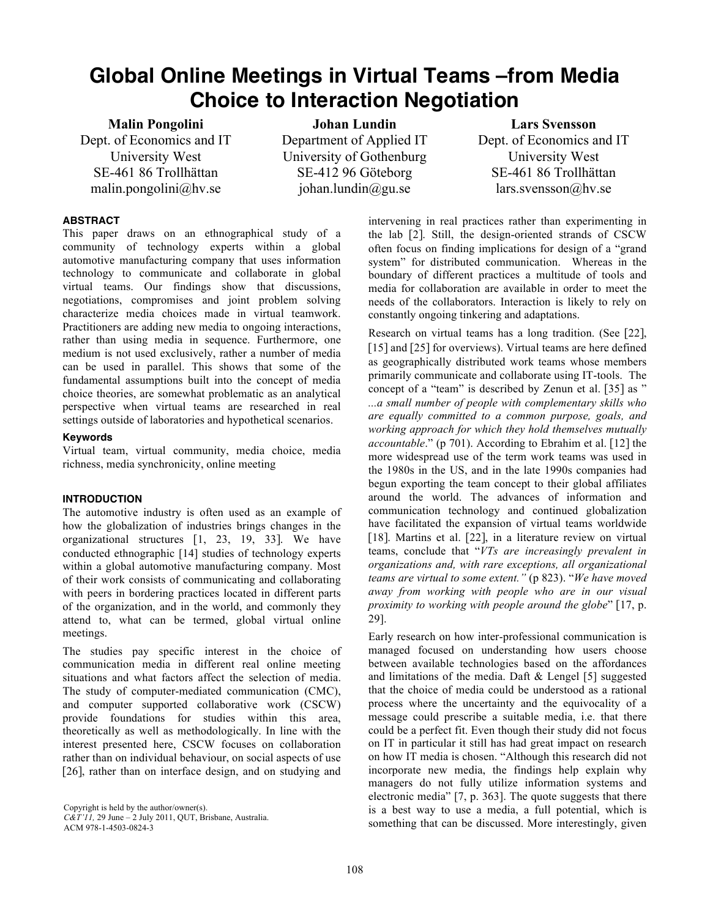# **Global Online Meetings in Virtual Teams –from Media Choice to Interaction Negotiation**

## **Malin Pongolini** Dept. of Economics and IT University West

SE-461 86 Trollhättan malin.pongolini@hv.se

**Johan Lundin** Department of Applied IT University of Gothenburg SE-412 96 Göteborg johan.lundin $@g$ gu.se

# **Lars Svensson** Dept. of Economics and IT University West SE-461 86 Trollhättan lars.svensson@hv.se

## **ABSTRACT**

This paper draws on an ethnographical study of a community of technology experts within a global automotive manufacturing company that uses information technology to communicate and collaborate in global virtual teams. Our findings show that discussions, negotiations, compromises and joint problem solving characterize media choices made in virtual teamwork. Practitioners are adding new media to ongoing interactions, rather than using media in sequence. Furthermore, one medium is not used exclusively, rather a number of media can be used in parallel. This shows that some of the fundamental assumptions built into the concept of media choice theories, are somewhat problematic as an analytical perspective when virtual teams are researched in real settings outside of laboratories and hypothetical scenarios.

## **Keywords**

Virtual team, virtual community, media choice, media richness, media synchronicity, online meeting

## **INTRODUCTION**

The automotive industry is often used as an example of how the globalization of industries brings changes in the organizational structures [1, 23, 19, 33]. We have conducted ethnographic [14] studies of technology experts within a global automotive manufacturing company. Most of their work consists of communicating and collaborating with peers in bordering practices located in different parts of the organization, and in the world, and commonly they attend to, what can be termed, global virtual online meetings.

The studies pay specific interest in the choice of communication media in different real online meeting situations and what factors affect the selection of media. The study of computer-mediated communication (CMC), and computer supported collaborative work (CSCW) provide foundations for studies within this area, theoretically as well as methodologically. In line with the interest presented here, CSCW focuses on collaboration rather than on individual behaviour, on social aspects of use [26], rather than on interface design, and on studying and

Copyright is held by the author/owner(s).

*C&T'11,* 29 June – 2 July 2011, QUT, Brisbane, Australia. ACM 978-1-4503-0824-3

intervening in real practices rather than experimenting in the lab [2]. Still, the design-oriented strands of CSCW often focus on finding implications for design of a "grand system" for distributed communication. Whereas in the boundary of different practices a multitude of tools and media for collaboration are available in order to meet the needs of the collaborators. Interaction is likely to rely on constantly ongoing tinkering and adaptations.

Research on virtual teams has a long tradition. (See [22], [15] and [25] for overviews). Virtual teams are here defined as geographically distributed work teams whose members primarily communicate and collaborate using IT-tools. The concept of a "team" is described by Zenun et al. [35] as " *...a small number of people with complementary skills who are equally committed to a common purpose, goals, and working approach for which they hold themselves mutually accountable*." (p 701). According to Ebrahim et al. [12] the more widespread use of the term work teams was used in the 1980s in the US, and in the late 1990s companies had begun exporting the team concept to their global affiliates around the world. The advances of information and communication technology and continued globalization have facilitated the expansion of virtual teams worldwide [18]. Martins et al. [22], in a literature review on virtual teams, conclude that "*VTs are increasingly prevalent in organizations and, with rare exceptions, all organizational teams are virtual to some extent."* (p 823). "*We have moved away from working with people who are in our visual proximity to working with people around the globe*" [17, p. 29].

Early research on how inter-professional communication is managed focused on understanding how users choose between available technologies based on the affordances and limitations of the media. Daft & Lengel [5] suggested that the choice of media could be understood as a rational process where the uncertainty and the equivocality of a message could prescribe a suitable media, i.e. that there could be a perfect fit. Even though their study did not focus on IT in particular it still has had great impact on research on how IT media is chosen. "Although this research did not incorporate new media, the findings help explain why managers do not fully utilize information systems and electronic media" [7, p. 363]. The quote suggests that there is a best way to use a media, a full potential, which is something that can be discussed. More interestingly, given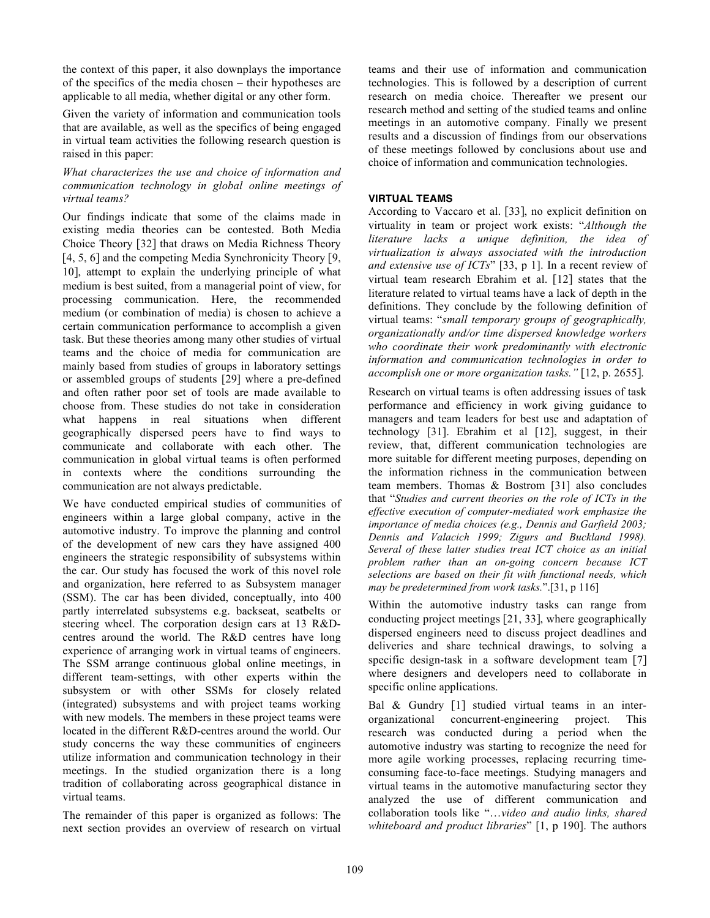the context of this paper, it also downplays the importance of the specifics of the media chosen – their hypotheses are applicable to all media, whether digital or any other form.

Given the variety of information and communication tools that are available, as well as the specifics of being engaged in virtual team activities the following research question is raised in this paper:

## *What characterizes the use and choice of information and communication technology in global online meetings of virtual teams?*

Our findings indicate that some of the claims made in existing media theories can be contested. Both Media Choice Theory [32] that draws on Media Richness Theory [4, 5, 6] and the competing Media Synchronicity Theory [9, 10], attempt to explain the underlying principle of what medium is best suited, from a managerial point of view, for processing communication. Here, the recommended medium (or combination of media) is chosen to achieve a certain communication performance to accomplish a given task. But these theories among many other studies of virtual teams and the choice of media for communication are mainly based from studies of groups in laboratory settings or assembled groups of students [29] where a pre-defined and often rather poor set of tools are made available to choose from. These studies do not take in consideration what happens in real situations when different geographically dispersed peers have to find ways to communicate and collaborate with each other. The communication in global virtual teams is often performed in contexts where the conditions surrounding the communication are not always predictable.

We have conducted empirical studies of communities of engineers within a large global company, active in the automotive industry. To improve the planning and control of the development of new cars they have assigned 400 engineers the strategic responsibility of subsystems within the car. Our study has focused the work of this novel role and organization, here referred to as Subsystem manager (SSM). The car has been divided, conceptually, into 400 partly interrelated subsystems e.g. backseat, seatbelts or steering wheel. The corporation design cars at 13 R&Dcentres around the world. The R&D centres have long experience of arranging work in virtual teams of engineers. The SSM arrange continuous global online meetings, in different team-settings, with other experts within the subsystem or with other SSMs for closely related (integrated) subsystems and with project teams working with new models. The members in these project teams were located in the different R&D-centres around the world. Our study concerns the way these communities of engineers utilize information and communication technology in their meetings. In the studied organization there is a long tradition of collaborating across geographical distance in virtual teams.

The remainder of this paper is organized as follows: The next section provides an overview of research on virtual

teams and their use of information and communication technologies. This is followed by a description of current research on media choice. Thereafter we present our research method and setting of the studied teams and online meetings in an automotive company. Finally we present results and a discussion of findings from our observations of these meetings followed by conclusions about use and choice of information and communication technologies.

#### **VIRTUAL TEAMS**

According to Vaccaro et al. [33], no explicit definition on virtuality in team or project work exists: "*Although the literature lacks a unique definition, the idea of virtualization is always associated with the introduction and extensive use of ICTs*" [33, p 1]. In a recent review of virtual team research Ebrahim et al. [12] states that the literature related to virtual teams have a lack of depth in the definitions. They conclude by the following definition of virtual teams: "*small temporary groups of geographically, organizationally and/or time dispersed knowledge workers who coordinate their work predominantly with electronic information and communication technologies in order to accomplish one or more organization tasks."* [12, p. 2655].

Research on virtual teams is often addressing issues of task performance and efficiency in work giving guidance to managers and team leaders for best use and adaptation of technology [31]. Ebrahim et al [12], suggest, in their review, that, different communication technologies are more suitable for different meeting purposes, depending on the information richness in the communication between team members. Thomas & Bostrom [31] also concludes that "*Studies and current theories on the role of ICTs in the effective execution of computer-mediated work emphasize the importance of media choices (e.g., Dennis and Garfield 2003; Dennis and Valacich 1999; Zigurs and Buckland 1998). Several of these latter studies treat ICT choice as an initial problem rather than an on-going concern because ICT selections are based on their fit with functional needs, which may be predetermined from work tasks.*".[31, p 116]

Within the automotive industry tasks can range from conducting project meetings [21, 33], where geographically dispersed engineers need to discuss project deadlines and deliveries and share technical drawings, to solving a specific design-task in a software development team [7] where designers and developers need to collaborate in specific online applications.

Bal & Gundry [1] studied virtual teams in an interorganizational concurrent-engineering project. This research was conducted during a period when the automotive industry was starting to recognize the need for more agile working processes, replacing recurring timeconsuming face-to-face meetings. Studying managers and virtual teams in the automotive manufacturing sector they analyzed the use of different communication and collaboration tools like "…*video and audio links, shared whiteboard and product libraries*" [1, p 190]. The authors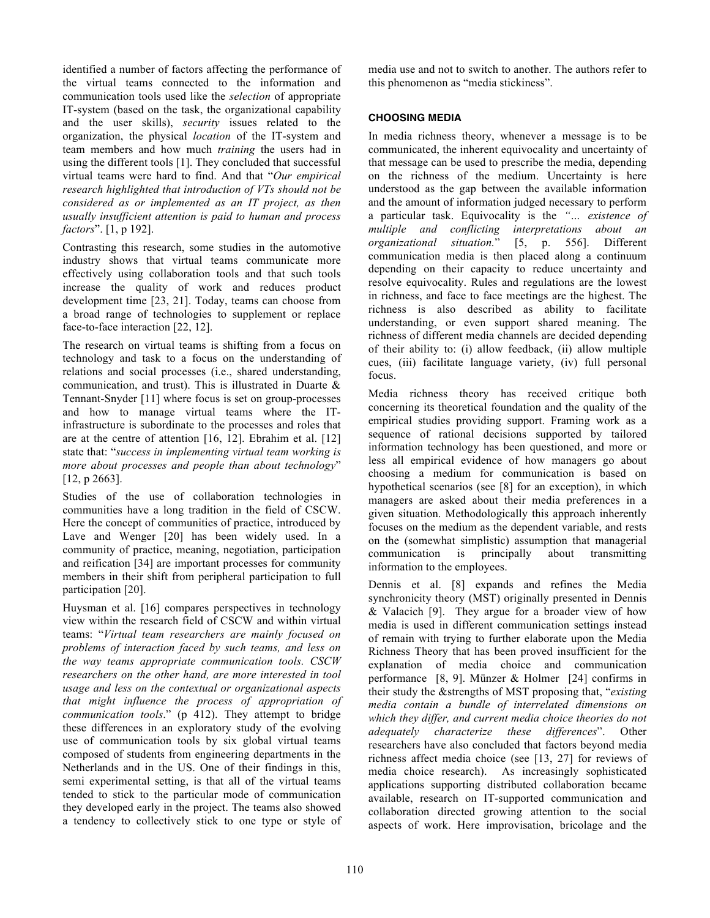identified a number of factors affecting the performance of the virtual teams connected to the information and communication tools used like the *selection* of appropriate IT-system (based on the task, the organizational capability and the user skills), *security* issues related to the organization, the physical *location* of the IT-system and team members and how much *training* the users had in using the different tools [1]. They concluded that successful virtual teams were hard to find. And that "*Our empirical research highlighted that introduction of VTs should not be considered as or implemented as an IT project, as then usually insufficient attention is paid to human and process factors*". [1, p 192].

Contrasting this research, some studies in the automotive industry shows that virtual teams communicate more effectively using collaboration tools and that such tools increase the quality of work and reduces product development time [23, 21]. Today, teams can choose from a broad range of technologies to supplement or replace face-to-face interaction [22, 12].

The research on virtual teams is shifting from a focus on technology and task to a focus on the understanding of relations and social processes (i.e., shared understanding, communication, and trust). This is illustrated in Duarte & Tennant-Snyder [11] where focus is set on group-processes and how to manage virtual teams where the ITinfrastructure is subordinate to the processes and roles that are at the centre of attention [16, 12]. Ebrahim et al. [12] state that: "*success in implementing virtual team working is more about processes and people than about technology*" [12, p 2663].

Studies of the use of collaboration technologies in communities have a long tradition in the field of CSCW. Here the concept of communities of practice, introduced by Lave and Wenger [20] has been widely used. In a community of practice, meaning, negotiation, participation and reification [34] are important processes for community members in their shift from peripheral participation to full participation [20].

Huysman et al. [16] compares perspectives in technology view within the research field of CSCW and within virtual teams: "*Virtual team researchers are mainly focused on problems of interaction faced by such teams, and less on the way teams appropriate communication tools. CSCW researchers on the other hand, are more interested in tool usage and less on the contextual or organizational aspects that might influence the process of appropriation of communication tools*." (p 412). They attempt to bridge these differences in an exploratory study of the evolving use of communication tools by six global virtual teams composed of students from engineering departments in the Netherlands and in the US. One of their findings in this, semi experimental setting, is that all of the virtual teams tended to stick to the particular mode of communication they developed early in the project. The teams also showed a tendency to collectively stick to one type or style of

media use and not to switch to another. The authors refer to this phenomenon as "media stickiness".

## **CHOOSING MEDIA**

In media richness theory, whenever a message is to be communicated, the inherent equivocality and uncertainty of that message can be used to prescribe the media, depending on the richness of the medium. Uncertainty is here understood as the gap between the available information and the amount of information judged necessary to perform a particular task. Equivocality is the *"… existence of multiple and conflicting interpretations about an organizational situation.*" [5, p. 556]. Different communication media is then placed along a continuum depending on their capacity to reduce uncertainty and resolve equivocality. Rules and regulations are the lowest in richness, and face to face meetings are the highest. The richness is also described as ability to facilitate understanding, or even support shared meaning. The richness of different media channels are decided depending of their ability to: (i) allow feedback, (ii) allow multiple cues, (iii) facilitate language variety, (iv) full personal focus.

Media richness theory has received critique both concerning its theoretical foundation and the quality of the empirical studies providing support. Framing work as a sequence of rational decisions supported by tailored information technology has been questioned, and more or less all empirical evidence of how managers go about choosing a medium for communication is based on hypothetical scenarios (see [8] for an exception), in which managers are asked about their media preferences in a given situation. Methodologically this approach inherently focuses on the medium as the dependent variable, and rests on the (somewhat simplistic) assumption that managerial communication is principally about transmitting information to the employees.

Dennis et al. [8] expands and refines the Media synchronicity theory (MST) originally presented in Dennis & Valacich [9]. They argue for a broader view of how media is used in different communication settings instead of remain with trying to further elaborate upon the Media Richness Theory that has been proved insufficient for the explanation of media choice and communication performance [8, 9]. Münzer & Holmer [24] confirms in their study the &strengths of MST proposing that, "*existing media contain a bundle of interrelated dimensions on which they differ, and current media choice theories do not adequately characterize these differences*". Other researchers have also concluded that factors beyond media richness affect media choice (see [13, 27] for reviews of media choice research). As increasingly sophisticated applications supporting distributed collaboration became available, research on IT-supported communication and collaboration directed growing attention to the social aspects of work. Here improvisation, bricolage and the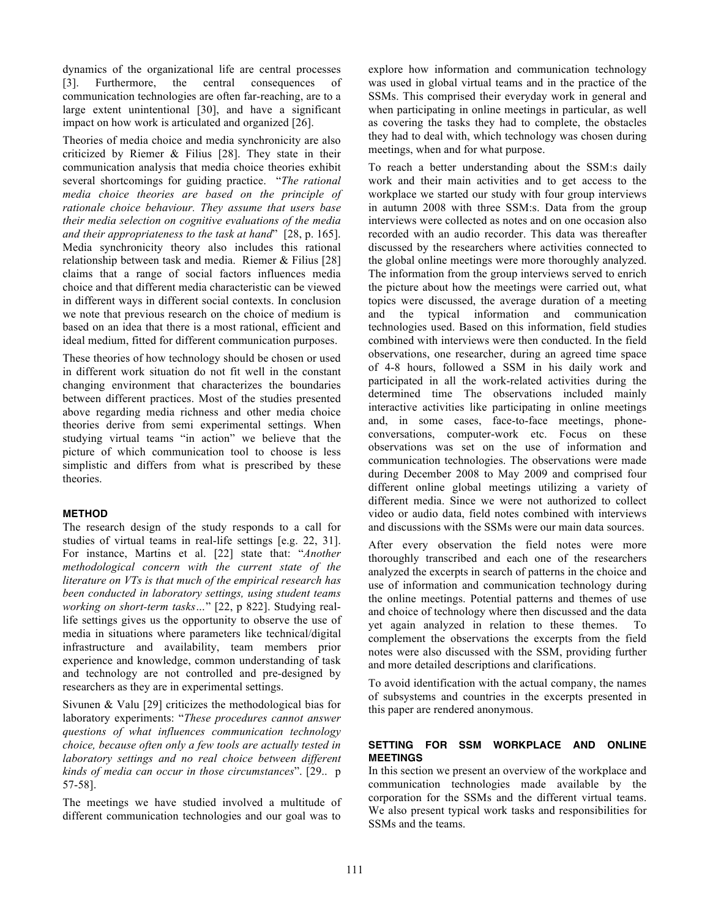dynamics of the organizational life are central processes [3]. Furthermore, the central consequences of communication technologies are often far-reaching, are to a large extent unintentional [30], and have a significant impact on how work is articulated and organized [26].

Theories of media choice and media synchronicity are also criticized by Riemer & Filius [28]. They state in their communication analysis that media choice theories exhibit several shortcomings for guiding practice. "*The rational media choice theories are based on the principle of rationale choice behaviour. They assume that users base their media selection on cognitive evaluations of the media and their appropriateness to the task at hand*" [28, p. 165]. Media synchronicity theory also includes this rational relationship between task and media. Riemer & Filius [28] claims that a range of social factors influences media choice and that different media characteristic can be viewed in different ways in different social contexts. In conclusion we note that previous research on the choice of medium is based on an idea that there is a most rational, efficient and ideal medium, fitted for different communication purposes.

These theories of how technology should be chosen or used in different work situation do not fit well in the constant changing environment that characterizes the boundaries between different practices. Most of the studies presented above regarding media richness and other media choice theories derive from semi experimental settings. When studying virtual teams "in action" we believe that the picture of which communication tool to choose is less simplistic and differs from what is prescribed by these theories.

## **METHOD**

The research design of the study responds to a call for studies of virtual teams in real-life settings [e.g. 22, 31]. For instance, Martins et al. [22] state that: "*Another methodological concern with the current state of the literature on VTs is that much of the empirical research has been conducted in laboratory settings, using student teams working on short-term tasks…*" [22, p 822]. Studying reallife settings gives us the opportunity to observe the use of media in situations where parameters like technical/digital infrastructure and availability, team members prior experience and knowledge, common understanding of task and technology are not controlled and pre-designed by researchers as they are in experimental settings.

Sivunen & Valu [29] criticizes the methodological bias for laboratory experiments: "*These procedures cannot answer questions of what influences communication technology choice, because often only a few tools are actually tested in laboratory settings and no real choice between different kinds of media can occur in those circumstances*". [29.. p 57-58].

The meetings we have studied involved a multitude of different communication technologies and our goal was to

explore how information and communication technology was used in global virtual teams and in the practice of the SSMs. This comprised their everyday work in general and when participating in online meetings in particular, as well as covering the tasks they had to complete, the obstacles they had to deal with, which technology was chosen during meetings, when and for what purpose.

To reach a better understanding about the SSM:s daily work and their main activities and to get access to the workplace we started our study with four group interviews in autumn 2008 with three SSM:s. Data from the group interviews were collected as notes and on one occasion also recorded with an audio recorder. This data was thereafter discussed by the researchers where activities connected to the global online meetings were more thoroughly analyzed. The information from the group interviews served to enrich the picture about how the meetings were carried out, what topics were discussed, the average duration of a meeting and the typical information and communication technologies used. Based on this information, field studies combined with interviews were then conducted. In the field observations, one researcher, during an agreed time space of 4-8 hours, followed a SSM in his daily work and participated in all the work-related activities during the determined time The observations included mainly interactive activities like participating in online meetings and, in some cases, face-to-face meetings, phoneconversations, computer-work etc. Focus on these observations was set on the use of information and communication technologies. The observations were made during December 2008 to May 2009 and comprised four different online global meetings utilizing a variety of different media. Since we were not authorized to collect video or audio data, field notes combined with interviews and discussions with the SSMs were our main data sources.

After every observation the field notes were more thoroughly transcribed and each one of the researchers analyzed the excerpts in search of patterns in the choice and use of information and communication technology during the online meetings. Potential patterns and themes of use and choice of technology where then discussed and the data yet again analyzed in relation to these themes. To complement the observations the excerpts from the field notes were also discussed with the SSM, providing further and more detailed descriptions and clarifications.

To avoid identification with the actual company, the names of subsystems and countries in the excerpts presented in this paper are rendered anonymous.

#### **SETTING FOR SSM WORKPLACE AND ONLINE MEETINGS**

In this section we present an overview of the workplace and communication technologies made available by the corporation for the SSMs and the different virtual teams. We also present typical work tasks and responsibilities for SSMs and the teams.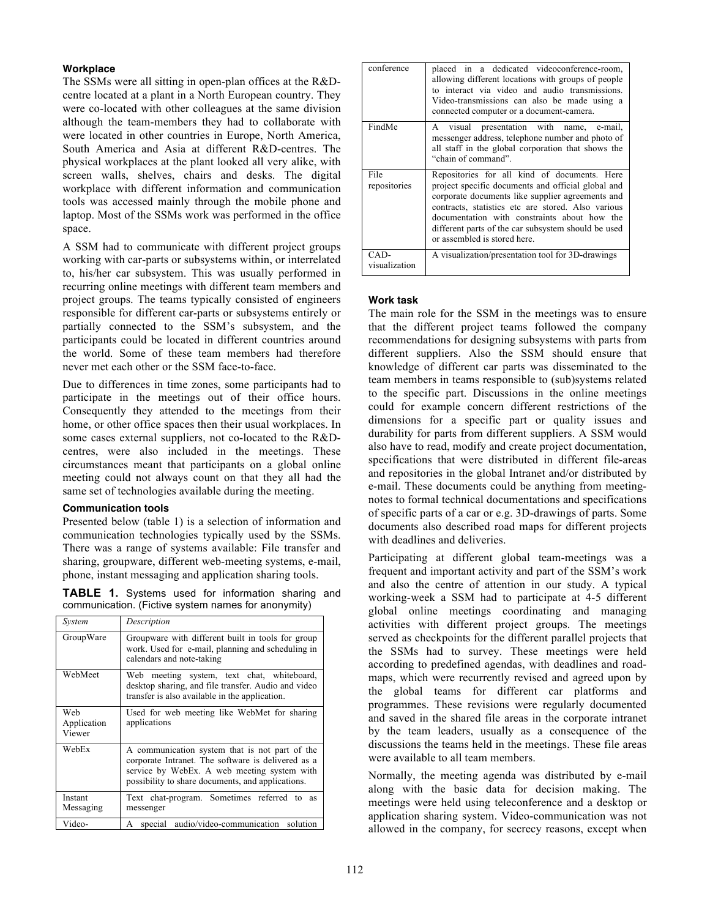#### **Workplace**

The SSMs were all sitting in open-plan offices at the R&Dcentre located at a plant in a North European country. They were co-located with other colleagues at the same division although the team-members they had to collaborate with were located in other countries in Europe, North America, South America and Asia at different R&D-centres. The physical workplaces at the plant looked all very alike, with screen walls, shelves, chairs and desks. The digital workplace with different information and communication tools was accessed mainly through the mobile phone and laptop. Most of the SSMs work was performed in the office space.

A SSM had to communicate with different project groups working with car-parts or subsystems within, or interrelated to, his/her car subsystem. This was usually performed in recurring online meetings with different team members and project groups. The teams typically consisted of engineers responsible for different car-parts or subsystems entirely or partially connected to the SSM's subsystem, and the participants could be located in different countries around the world. Some of these team members had therefore never met each other or the SSM face-to-face.

Due to differences in time zones, some participants had to participate in the meetings out of their office hours. Consequently they attended to the meetings from their home, or other office spaces then their usual workplaces. In some cases external suppliers, not co-located to the R&Dcentres, were also included in the meetings. These circumstances meant that participants on a global online meeting could not always count on that they all had the same set of technologies available during the meeting.

#### **Communication tools**

Presented below (table 1) is a selection of information and communication technologies typically used by the SSMs. There was a range of systems available: File transfer and sharing, groupware, different web-meeting systems, e-mail, phone, instant messaging and application sharing tools.

|                                                     |  |  |  |  | <b>TABLE 1.</b> Systems used for information sharing and |  |  |
|-----------------------------------------------------|--|--|--|--|----------------------------------------------------------|--|--|
| communication. (Fictive system names for anonymity) |  |  |  |  |                                                          |  |  |

| System                       | Description                                                                                                                                                                                              |
|------------------------------|----------------------------------------------------------------------------------------------------------------------------------------------------------------------------------------------------------|
| GroupWare                    | Groupware with different built in tools for group<br>work. Used for e-mail, planning and scheduling in<br>calendars and note-taking                                                                      |
| WebMeet                      | Web meeting system, text chat, whiteboard,<br>desktop sharing, and file transfer. Audio and video<br>transfer is also available in the application.                                                      |
| Web<br>Application<br>Viewer | Used for web meeting like WebMet for sharing<br>applications                                                                                                                                             |
| WebEx                        | A communication system that is not part of the<br>corporate Intranet. The software is delivered as a<br>service by WebEx. A web meeting system with<br>possibility to share documents, and applications. |
| Instant<br>Messaging         | Text chat-program. Sometimes referred<br>to<br><b>as</b><br>messenger                                                                                                                                    |
| Video-                       | audio/video-communication<br>solution<br>special<br>A                                                                                                                                                    |

| conference           | placed in a dedicated videoconference-room,<br>allowing different locations with groups of people<br>to interact via video and audio transmissions.<br>Video-transmissions can also be made using a<br>connected computer or a document-camera.                                                                                                     |
|----------------------|-----------------------------------------------------------------------------------------------------------------------------------------------------------------------------------------------------------------------------------------------------------------------------------------------------------------------------------------------------|
| FindMe               | visual presentation with name, e-mail,<br>A<br>messenger address, telephone number and photo of<br>all staff in the global corporation that shows the<br>"chain of command".                                                                                                                                                                        |
| File<br>repositories | Repositories for all kind of documents. Here<br>project specific documents and official global and<br>corporate documents like supplier agreements and<br>contracts, statistics etc are stored. Also various<br>documentation with constraints about how the<br>different parts of the car subsystem should be used<br>or assembled is stored here. |
| CAD<br>visualization | A visualization/presentation tool for 3D-drawings                                                                                                                                                                                                                                                                                                   |

#### **Work task**

The main role for the SSM in the meetings was to ensure that the different project teams followed the company recommendations for designing subsystems with parts from different suppliers. Also the SSM should ensure that knowledge of different car parts was disseminated to the team members in teams responsible to (sub)systems related to the specific part. Discussions in the online meetings could for example concern different restrictions of the dimensions for a specific part or quality issues and durability for parts from different suppliers. A SSM would also have to read, modify and create project documentation, specifications that were distributed in different file-areas and repositories in the global Intranet and/or distributed by e-mail. These documents could be anything from meetingnotes to formal technical documentations and specifications of specific parts of a car or e.g. 3D-drawings of parts. Some documents also described road maps for different projects with deadlines and deliveries.

Participating at different global team-meetings was a frequent and important activity and part of the SSM's work and also the centre of attention in our study. A typical working-week a SSM had to participate at 4-5 different global online meetings coordinating and managing activities with different project groups. The meetings served as checkpoints for the different parallel projects that the SSMs had to survey. These meetings were held according to predefined agendas, with deadlines and roadmaps, which were recurrently revised and agreed upon by the global teams for different car platforms and programmes. These revisions were regularly documented and saved in the shared file areas in the corporate intranet by the team leaders, usually as a consequence of the discussions the teams held in the meetings. These file areas were available to all team members.

Normally, the meeting agenda was distributed by e-mail along with the basic data for decision making. The meetings were held using teleconference and a desktop or application sharing system. Video-communication was not allowed in the company, for secrecy reasons, except when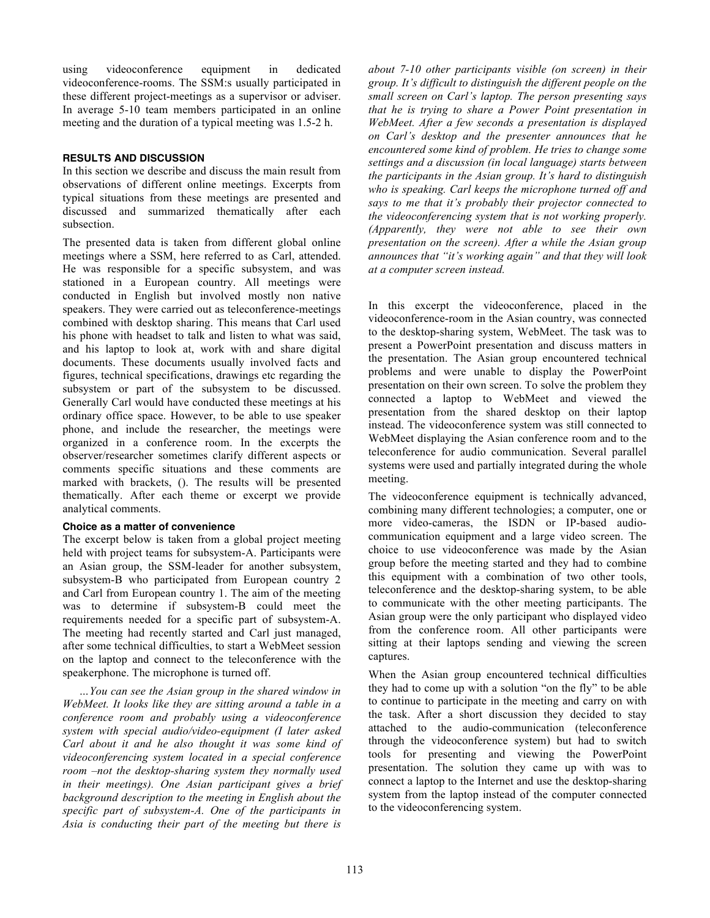using videoconference equipment in dedicated videoconference-rooms. The SSM:s usually participated in these different project-meetings as a supervisor or adviser. In average 5-10 team members participated in an online meeting and the duration of a typical meeting was 1.5-2 h.

## **RESULTS AND DISCUSSION**

In this section we describe and discuss the main result from observations of different online meetings. Excerpts from typical situations from these meetings are presented and discussed and summarized thematically after each subsection.

The presented data is taken from different global online meetings where a SSM, here referred to as Carl, attended. He was responsible for a specific subsystem, and was stationed in a European country. All meetings were conducted in English but involved mostly non native speakers. They were carried out as teleconference-meetings combined with desktop sharing. This means that Carl used his phone with headset to talk and listen to what was said, and his laptop to look at, work with and share digital documents. These documents usually involved facts and figures, technical specifications, drawings etc regarding the subsystem or part of the subsystem to be discussed. Generally Carl would have conducted these meetings at his ordinary office space. However, to be able to use speaker phone, and include the researcher, the meetings were organized in a conference room. In the excerpts the observer/researcher sometimes clarify different aspects or comments specific situations and these comments are marked with brackets, (). The results will be presented thematically. After each theme or excerpt we provide analytical comments.

#### **Choice as a matter of convenience**

The excerpt below is taken from a global project meeting held with project teams for subsystem-A. Participants were an Asian group, the SSM-leader for another subsystem, subsystem-B who participated from European country 2 and Carl from European country 1. The aim of the meeting was to determine if subsystem-B could meet the requirements needed for a specific part of subsystem-A. The meeting had recently started and Carl just managed, after some technical difficulties, to start a WebMeet session on the laptop and connect to the teleconference with the speakerphone. The microphone is turned off.

*…You can see the Asian group in the shared window in WebMeet. It looks like they are sitting around a table in a conference room and probably using a videoconference system with special audio/video-equipment (I later asked Carl about it and he also thought it was some kind of videoconferencing system located in a special conference room –not the desktop-sharing system they normally used in their meetings). One Asian participant gives a brief background description to the meeting in English about the specific part of subsystem-A. One of the participants in Asia is conducting their part of the meeting but there is* 

*about 7-10 other participants visible (on screen) in their group. It's difficult to distinguish the different people on the small screen on Carl's laptop. The person presenting says that he is trying to share a Power Point presentation in WebMeet. After a few seconds a presentation is displayed on Carl's desktop and the presenter announces that he encountered some kind of problem. He tries to change some settings and a discussion (in local language) starts between the participants in the Asian group. It's hard to distinguish who is speaking. Carl keeps the microphone turned off and says to me that it's probably their projector connected to the videoconferencing system that is not working properly. (Apparently, they were not able to see their own presentation on the screen). After a while the Asian group announces that "it's working again" and that they will look at a computer screen instead.*

In this excerpt the videoconference, placed in the videoconference-room in the Asian country, was connected to the desktop-sharing system, WebMeet. The task was to present a PowerPoint presentation and discuss matters in the presentation. The Asian group encountered technical problems and were unable to display the PowerPoint presentation on their own screen. To solve the problem they connected a laptop to WebMeet and viewed the presentation from the shared desktop on their laptop instead. The videoconference system was still connected to WebMeet displaying the Asian conference room and to the teleconference for audio communication. Several parallel systems were used and partially integrated during the whole meeting.

The videoconference equipment is technically advanced, combining many different technologies; a computer, one or more video-cameras, the ISDN or IP-based audiocommunication equipment and a large video screen. The choice to use videoconference was made by the Asian group before the meeting started and they had to combine this equipment with a combination of two other tools, teleconference and the desktop-sharing system, to be able to communicate with the other meeting participants. The Asian group were the only participant who displayed video from the conference room. All other participants were sitting at their laptops sending and viewing the screen captures.

When the Asian group encountered technical difficulties they had to come up with a solution "on the fly" to be able to continue to participate in the meeting and carry on with the task. After a short discussion they decided to stay attached to the audio-communication (teleconference through the videoconference system) but had to switch tools for presenting and viewing the PowerPoint presentation. The solution they came up with was to connect a laptop to the Internet and use the desktop-sharing system from the laptop instead of the computer connected to the videoconferencing system.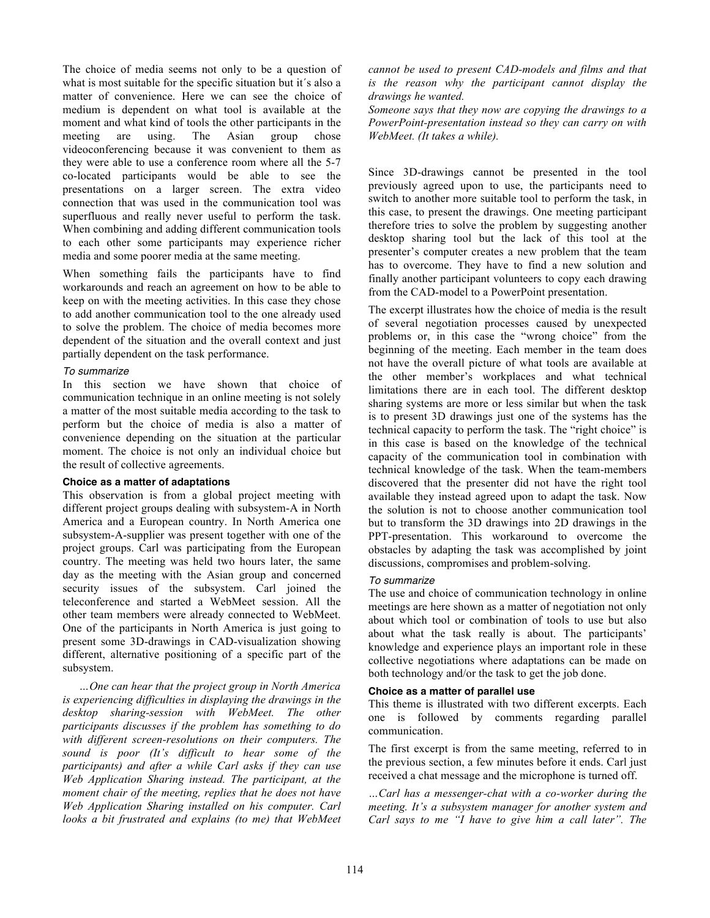The choice of media seems not only to be a question of what is most suitable for the specific situation but it´s also a matter of convenience. Here we can see the choice of medium is dependent on what tool is available at the moment and what kind of tools the other participants in the meeting are using. The Asian group chose videoconferencing because it was convenient to them as they were able to use a conference room where all the 5-7 co-located participants would be able to see the presentations on a larger screen. The extra video connection that was used in the communication tool was superfluous and really never useful to perform the task. When combining and adding different communication tools to each other some participants may experience richer media and some poorer media at the same meeting.

When something fails the participants have to find workarounds and reach an agreement on how to be able to keep on with the meeting activities. In this case they chose to add another communication tool to the one already used to solve the problem. The choice of media becomes more dependent of the situation and the overall context and just partially dependent on the task performance.

#### *To summarize*

In this section we have shown that choice of communication technique in an online meeting is not solely a matter of the most suitable media according to the task to perform but the choice of media is also a matter of convenience depending on the situation at the particular moment. The choice is not only an individual choice but the result of collective agreements.

#### **Choice as a matter of adaptations**

This observation is from a global project meeting with different project groups dealing with subsystem-A in North America and a European country. In North America one subsystem-A-supplier was present together with one of the project groups. Carl was participating from the European country. The meeting was held two hours later, the same day as the meeting with the Asian group and concerned security issues of the subsystem. Carl joined the teleconference and started a WebMeet session. All the other team members were already connected to WebMeet. One of the participants in North America is just going to present some 3D-drawings in CAD-visualization showing different, alternative positioning of a specific part of the subsystem.

*…One can hear that the project group in North America is experiencing difficulties in displaying the drawings in the desktop sharing-session with WebMeet. The other participants discusses if the problem has something to do with different screen-resolutions on their computers. The sound is poor (It's difficult to hear some of the participants) and after a while Carl asks if they can use Web Application Sharing instead. The participant, at the moment chair of the meeting, replies that he does not have Web Application Sharing installed on his computer. Carl looks a bit frustrated and explains (to me) that WebMeet*  *cannot be used to present CAD-models and films and that is the reason why the participant cannot display the drawings he wanted.*

*Someone says that they now are copying the drawings to a PowerPoint-presentation instead so they can carry on with WebMeet. (It takes a while).*

Since 3D-drawings cannot be presented in the tool previously agreed upon to use, the participants need to switch to another more suitable tool to perform the task, in this case, to present the drawings. One meeting participant therefore tries to solve the problem by suggesting another desktop sharing tool but the lack of this tool at the presenter's computer creates a new problem that the team has to overcome. They have to find a new solution and finally another participant volunteers to copy each drawing from the CAD-model to a PowerPoint presentation.

The excerpt illustrates how the choice of media is the result of several negotiation processes caused by unexpected problems or, in this case the "wrong choice" from the beginning of the meeting. Each member in the team does not have the overall picture of what tools are available at the other member's workplaces and what technical limitations there are in each tool. The different desktop sharing systems are more or less similar but when the task is to present 3D drawings just one of the systems has the technical capacity to perform the task. The "right choice" is in this case is based on the knowledge of the technical capacity of the communication tool in combination with technical knowledge of the task. When the team-members discovered that the presenter did not have the right tool available they instead agreed upon to adapt the task. Now the solution is not to choose another communication tool but to transform the 3D drawings into 2D drawings in the PPT-presentation. This workaround to overcome the obstacles by adapting the task was accomplished by joint discussions, compromises and problem-solving.

## *To summarize*

The use and choice of communication technology in online meetings are here shown as a matter of negotiation not only about which tool or combination of tools to use but also about what the task really is about. The participants' knowledge and experience plays an important role in these collective negotiations where adaptations can be made on both technology and/or the task to get the job done.

## **Choice as a matter of parallel use**

This theme is illustrated with two different excerpts. Each one is followed by comments regarding parallel communication.

The first excerpt is from the same meeting, referred to in the previous section, a few minutes before it ends. Carl just received a chat message and the microphone is turned off.

*…Carl has a messenger-chat with a co-worker during the meeting. It's a subsystem manager for another system and Carl says to me "I have to give him a call later". The*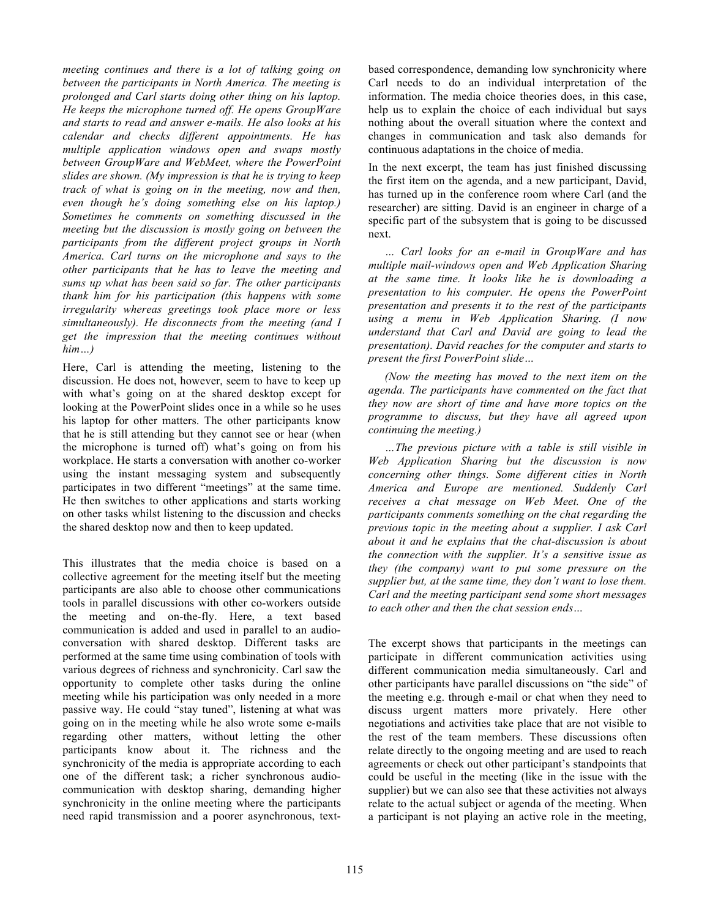*meeting continues and there is a lot of talking going on between the participants in North America. The meeting is prolonged and Carl starts doing other thing on his laptop. He keeps the microphone turned off. He opens GroupWare and starts to read and answer e-mails. He also looks at his calendar and checks different appointments. He has multiple application windows open and swaps mostly between GroupWare and WebMeet, where the PowerPoint slides are shown. (My impression is that he is trying to keep track of what is going on in the meeting, now and then, even though he's doing something else on his laptop.) Sometimes he comments on something discussed in the meeting but the discussion is mostly going on between the participants from the different project groups in North America. Carl turns on the microphone and says to the other participants that he has to leave the meeting and sums up what has been said so far. The other participants thank him for his participation (this happens with some irregularity whereas greetings took place more or less simultaneously). He disconnects from the meeting (and I get the impression that the meeting continues without him…)*

Here, Carl is attending the meeting, listening to the discussion. He does not, however, seem to have to keep up with what's going on at the shared desktop except for looking at the PowerPoint slides once in a while so he uses his laptop for other matters. The other participants know that he is still attending but they cannot see or hear (when the microphone is turned off) what's going on from his workplace. He starts a conversation with another co-worker using the instant messaging system and subsequently participates in two different "meetings" at the same time. He then switches to other applications and starts working on other tasks whilst listening to the discussion and checks the shared desktop now and then to keep updated.

This illustrates that the media choice is based on a collective agreement for the meeting itself but the meeting participants are also able to choose other communications tools in parallel discussions with other co-workers outside the meeting and on-the-fly. Here, a text based communication is added and used in parallel to an audioconversation with shared desktop. Different tasks are performed at the same time using combination of tools with various degrees of richness and synchronicity. Carl saw the opportunity to complete other tasks during the online meeting while his participation was only needed in a more passive way. He could "stay tuned", listening at what was going on in the meeting while he also wrote some e-mails regarding other matters, without letting the other participants know about it. The richness and the synchronicity of the media is appropriate according to each one of the different task; a richer synchronous audiocommunication with desktop sharing, demanding higher synchronicity in the online meeting where the participants need rapid transmission and a poorer asynchronous, textbased correspondence, demanding low synchronicity where Carl needs to do an individual interpretation of the information. The media choice theories does, in this case, help us to explain the choice of each individual but says nothing about the overall situation where the context and changes in communication and task also demands for continuous adaptations in the choice of media.

In the next excerpt, the team has just finished discussing the first item on the agenda, and a new participant, David, has turned up in the conference room where Carl (and the researcher) are sitting. David is an engineer in charge of a specific part of the subsystem that is going to be discussed next.

*… Carl looks for an e-mail in GroupWare and has multiple mail-windows open and Web Application Sharing at the same time. It looks like he is downloading a presentation to his computer. He opens the PowerPoint presentation and presents it to the rest of the participants using a menu in Web Application Sharing. (I now understand that Carl and David are going to lead the presentation). David reaches for the computer and starts to present the first PowerPoint slide…*

*(Now the meeting has moved to the next item on the agenda. The participants have commented on the fact that they now are short of time and have more topics on the programme to discuss, but they have all agreed upon continuing the meeting.)*

*…The previous picture with a table is still visible in Web Application Sharing but the discussion is now concerning other things. Some different cities in North America and Europe are mentioned. Suddenly Carl receives a chat message on Web Meet. One of the participants comments something on the chat regarding the previous topic in the meeting about a supplier. I ask Carl about it and he explains that the chat-discussion is about the connection with the supplier. It's a sensitive issue as they (the company) want to put some pressure on the supplier but, at the same time, they don't want to lose them. Carl and the meeting participant send some short messages to each other and then the chat session ends…* 

The excerpt shows that participants in the meetings can participate in different communication activities using different communication media simultaneously. Carl and other participants have parallel discussions on "the side" of the meeting e.g. through e-mail or chat when they need to discuss urgent matters more privately. Here other negotiations and activities take place that are not visible to the rest of the team members. These discussions often relate directly to the ongoing meeting and are used to reach agreements or check out other participant's standpoints that could be useful in the meeting (like in the issue with the supplier) but we can also see that these activities not always relate to the actual subject or agenda of the meeting. When a participant is not playing an active role in the meeting,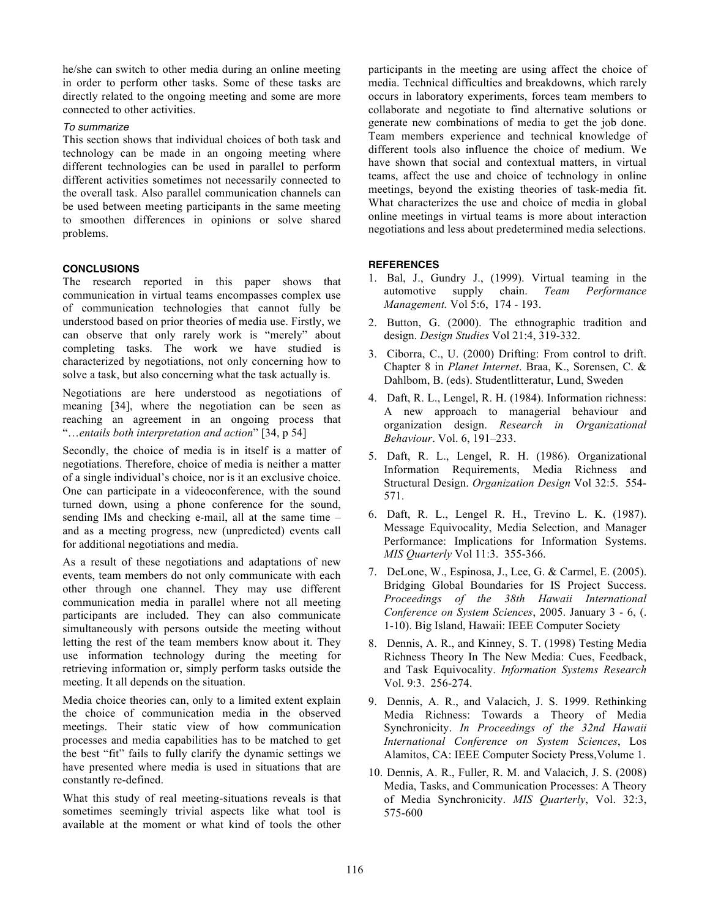he/she can switch to other media during an online meeting in order to perform other tasks. Some of these tasks are directly related to the ongoing meeting and some are more connected to other activities.

#### *To summarize*

This section shows that individual choices of both task and technology can be made in an ongoing meeting where different technologies can be used in parallel to perform different activities sometimes not necessarily connected to the overall task. Also parallel communication channels can be used between meeting participants in the same meeting to smoothen differences in opinions or solve shared problems.

#### **CONCLUSIONS**

The research reported in this paper shows that communication in virtual teams encompasses complex use of communication technologies that cannot fully be understood based on prior theories of media use. Firstly, we can observe that only rarely work is "merely" about completing tasks. The work we have studied is characterized by negotiations, not only concerning how to solve a task, but also concerning what the task actually is.

Negotiations are here understood as negotiations of meaning [34], where the negotiation can be seen as reaching an agreement in an ongoing process that "…*entails both interpretation and action*" [34, p 54]

Secondly, the choice of media is in itself is a matter of negotiations. Therefore, choice of media is neither a matter of a single individual's choice, nor is it an exclusive choice. One can participate in a videoconference, with the sound turned down, using a phone conference for the sound, sending IMs and checking e-mail, all at the same time – and as a meeting progress, new (unpredicted) events call for additional negotiations and media.

As a result of these negotiations and adaptations of new events, team members do not only communicate with each other through one channel. They may use different communication media in parallel where not all meeting participants are included. They can also communicate simultaneously with persons outside the meeting without letting the rest of the team members know about it. They use information technology during the meeting for retrieving information or, simply perform tasks outside the meeting. It all depends on the situation.

Media choice theories can, only to a limited extent explain the choice of communication media in the observed meetings. Their static view of how communication processes and media capabilities has to be matched to get the best "fit" fails to fully clarify the dynamic settings we have presented where media is used in situations that are constantly re-defined.

What this study of real meeting-situations reveals is that sometimes seemingly trivial aspects like what tool is available at the moment or what kind of tools the other

participants in the meeting are using affect the choice of media. Technical difficulties and breakdowns, which rarely occurs in laboratory experiments, forces team members to collaborate and negotiate to find alternative solutions or generate new combinations of media to get the job done. Team members experience and technical knowledge of different tools also influence the choice of medium. We have shown that social and contextual matters, in virtual teams, affect the use and choice of technology in online meetings, beyond the existing theories of task-media fit. What characterizes the use and choice of media in global online meetings in virtual teams is more about interaction negotiations and less about predetermined media selections.

#### **REFERENCES**

- 1. Bal, J., Gundry J., (1999). Virtual teaming in the automotive supply chain. *Team Performance Management.* Vol 5:6, 174 - 193.
- 2. Button, G. (2000). The ethnographic tradition and design. *Design Studies* Vol 21:4, 319-332.
- 3. Ciborra, C., U. (2000) Drifting: From control to drift. Chapter 8 in *Planet Internet*. Braa, K., Sorensen, C. & Dahlbom, B. (eds). Studentlitteratur, Lund, Sweden
- 4. Daft, R. L., Lengel, R. H. (1984). Information richness: A new approach to managerial behaviour and organization design. *Research in Organizational Behaviour*. Vol. 6, 191–233.
- 5. Daft, R. L., Lengel, R. H. (1986). Organizational Information Requirements, Media Richness and Structural Design. *Organization Design* Vol 32:5. 554- 571.
- 6. Daft, R. L., Lengel R. H., Trevino L. K. (1987). Message Equivocality, Media Selection, and Manager Performance: Implications for Information Systems. *MIS Quarterly* Vol 11:3. 355-366.
- 7. DeLone, W., Espinosa, J., Lee, G. & Carmel, E. (2005). Bridging Global Boundaries for IS Project Success. *Proceedings of the 38th Hawaii International Conference on System Sciences*, 2005. January 3 - 6, (. 1-10). Big Island, Hawaii: IEEE Computer Society
- 8. Dennis, A. R., and Kinney, S. T. (1998) Testing Media Richness Theory In The New Media: Cues, Feedback, and Task Equivocality. *Information Systems Research* Vol. 9:3. 256-274.
- 9. Dennis, A. R., and Valacich, J. S. 1999. Rethinking Media Richness: Towards a Theory of Media Synchronicity. *In Proceedings of the 32nd Hawaii International Conference on System Sciences*, Los Alamitos, CA: IEEE Computer Society Press,Volume 1.
- 10. Dennis, A. R., Fuller, R. M. and Valacich, J. S. (2008) Media, Tasks, and Communication Processes: A Theory of Media Synchronicity. *MIS Quarterly*, Vol. 32:3, 575-600